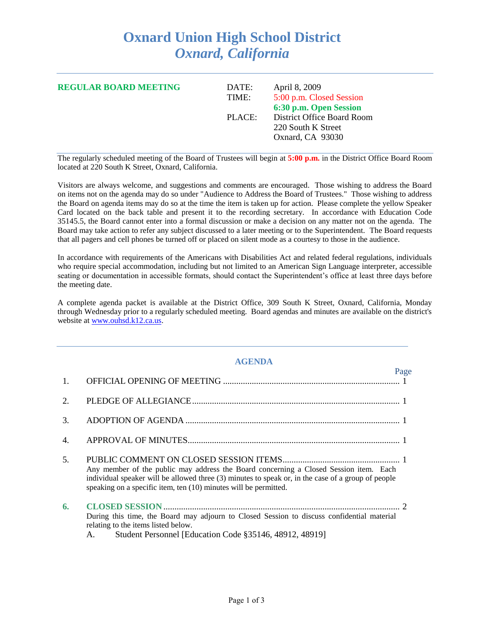## **Oxnard Union High School District** *Oxnard, California*

| <b>REGULAR BOARD MEETING</b> | DATE:<br>TIME: | April 8, 2009<br>5:00 p.m. Closed Session<br>6:30 p.m. Open Session  |
|------------------------------|----------------|----------------------------------------------------------------------|
|                              | PLACE:         | District Office Board Room<br>220 South K Street<br>Oxnard, CA 93030 |

The regularly scheduled meeting of the Board of Trustees will begin at **5:00 p.m.** in the District Office Board Room located at 220 South K Street, Oxnard, California.

Visitors are always welcome, and suggestions and comments are encouraged. Those wishing to address the Board on items not on the agenda may do so under "Audience to Address the Board of Trustees." Those wishing to address the Board on agenda items may do so at the time the item is taken up for action. Please complete the yellow Speaker Card located on the back table and present it to the recording secretary. In accordance with Education Code 35145.5, the Board cannot enter into a formal discussion or make a decision on any matter not on the agenda. The Board may take action to refer any subject discussed to a later meeting or to the Superintendent. The Board requests that all pagers and cell phones be turned off or placed on silent mode as a courtesy to those in the audience.

In accordance with requirements of the Americans with Disabilities Act and related federal regulations, individuals who require special accommodation, including but not limited to an American Sign Language interpreter, accessible seating or documentation in accessible formats, should contact the Superintendent's office at least three days before the meeting date.

A complete agenda packet is available at the District Office, 309 South K Street, Oxnard, California, Monday through Wednesday prior to a regularly scheduled meeting. Board agendas and minutes are available on the district's website at [www.ouhsd.k12.ca.us.](http://www.ouhsd.k12.ca.us/)

## **AGENDA**

|    |                                                                                                                                                                                                                                                                 | Page |
|----|-----------------------------------------------------------------------------------------------------------------------------------------------------------------------------------------------------------------------------------------------------------------|------|
| 1. |                                                                                                                                                                                                                                                                 |      |
| 2. |                                                                                                                                                                                                                                                                 |      |
| 3. |                                                                                                                                                                                                                                                                 |      |
| 4. |                                                                                                                                                                                                                                                                 |      |
| 5. | Any member of the public may address the Board concerning a Closed Session item. Each<br>individual speaker will be allowed three (3) minutes to speak or, in the case of a group of people<br>speaking on a specific item, ten (10) minutes will be permitted. |      |
| 6. | During this time, the Board may adjourn to Closed Session to discuss confidential material<br>relating to the items listed below.<br>Student Personnel [Education Code §35146, 48912, 48919]<br>A.                                                              |      |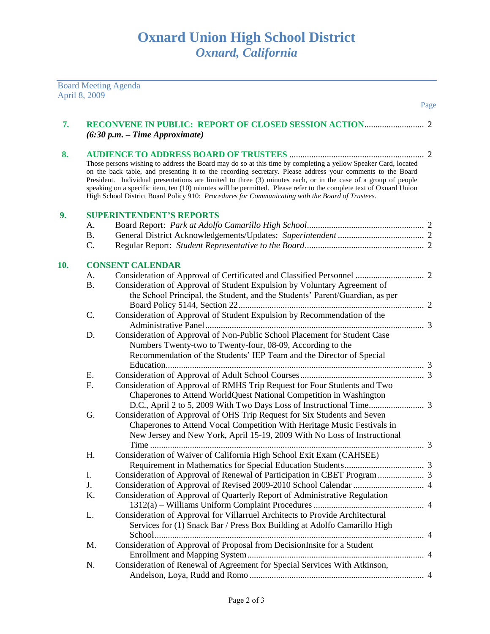|     | April 8, 2009 | <b>Board Meeting Agenda</b>                                                                                                                                                                                                                                                                                                                                                                                                                                                                                                                                             |      |
|-----|---------------|-------------------------------------------------------------------------------------------------------------------------------------------------------------------------------------------------------------------------------------------------------------------------------------------------------------------------------------------------------------------------------------------------------------------------------------------------------------------------------------------------------------------------------------------------------------------------|------|
|     |               |                                                                                                                                                                                                                                                                                                                                                                                                                                                                                                                                                                         | Page |
| 7.  |               | $(6:30 p.m. - Time Approximate)$                                                                                                                                                                                                                                                                                                                                                                                                                                                                                                                                        |      |
| 8.  |               |                                                                                                                                                                                                                                                                                                                                                                                                                                                                                                                                                                         |      |
|     |               | Those persons wishing to address the Board may do so at this time by completing a yellow Speaker Card, located<br>on the back table, and presenting it to the recording secretary. Please address your comments to the Board<br>President. Individual presentations are limited to three (3) minutes each, or in the case of a group of people<br>speaking on a specific item, ten (10) minutes will be permitted. Please refer to the complete text of Oxnard Union<br>High School District Board Policy 910: Procedures for Communicating with the Board of Trustees. |      |
| 9.  |               | <b>SUPERINTENDENT'S REPORTS</b>                                                                                                                                                                                                                                                                                                                                                                                                                                                                                                                                         |      |
|     | A.            |                                                                                                                                                                                                                                                                                                                                                                                                                                                                                                                                                                         |      |
|     | <b>B.</b>     |                                                                                                                                                                                                                                                                                                                                                                                                                                                                                                                                                                         |      |
|     | C.            |                                                                                                                                                                                                                                                                                                                                                                                                                                                                                                                                                                         |      |
| 10. |               | <b>CONSENT CALENDAR</b>                                                                                                                                                                                                                                                                                                                                                                                                                                                                                                                                                 |      |
|     | A.            |                                                                                                                                                                                                                                                                                                                                                                                                                                                                                                                                                                         |      |
|     | <b>B.</b>     | Consideration of Approval of Student Expulsion by Voluntary Agreement of                                                                                                                                                                                                                                                                                                                                                                                                                                                                                                |      |
|     |               | the School Principal, the Student, and the Students' Parent/Guardian, as per                                                                                                                                                                                                                                                                                                                                                                                                                                                                                            |      |
|     |               |                                                                                                                                                                                                                                                                                                                                                                                                                                                                                                                                                                         |      |
|     | C.            | Consideration of Approval of Student Expulsion by Recommendation of the                                                                                                                                                                                                                                                                                                                                                                                                                                                                                                 |      |
|     |               |                                                                                                                                                                                                                                                                                                                                                                                                                                                                                                                                                                         |      |
|     | D.            | Consideration of Approval of Non-Public School Placement for Student Case                                                                                                                                                                                                                                                                                                                                                                                                                                                                                               |      |
|     |               | Numbers Twenty-two to Twenty-four, 08-09, According to the                                                                                                                                                                                                                                                                                                                                                                                                                                                                                                              |      |
|     |               | Recommendation of the Students' IEP Team and the Director of Special                                                                                                                                                                                                                                                                                                                                                                                                                                                                                                    |      |
|     |               |                                                                                                                                                                                                                                                                                                                                                                                                                                                                                                                                                                         |      |
|     | E.            |                                                                                                                                                                                                                                                                                                                                                                                                                                                                                                                                                                         |      |
|     | F.            | Consideration of Approval of RMHS Trip Request for Four Students and Two                                                                                                                                                                                                                                                                                                                                                                                                                                                                                                |      |
|     |               | Chaperones to Attend WorldQuest National Competition in Washington                                                                                                                                                                                                                                                                                                                                                                                                                                                                                                      |      |
|     |               |                                                                                                                                                                                                                                                                                                                                                                                                                                                                                                                                                                         |      |
|     | G.            | Consideration of Approval of OHS Trip Request for Six Students and Seven                                                                                                                                                                                                                                                                                                                                                                                                                                                                                                |      |
|     |               | Chaperones to Attend Vocal Competition With Heritage Music Festivals in                                                                                                                                                                                                                                                                                                                                                                                                                                                                                                 |      |
|     |               | New Jersey and New York, April 15-19, 2009 With No Loss of Instructional                                                                                                                                                                                                                                                                                                                                                                                                                                                                                                |      |
|     |               |                                                                                                                                                                                                                                                                                                                                                                                                                                                                                                                                                                         |      |
|     | Η.            | Consideration of Waiver of California High School Exit Exam (CAHSEE)                                                                                                                                                                                                                                                                                                                                                                                                                                                                                                    |      |
|     |               |                                                                                                                                                                                                                                                                                                                                                                                                                                                                                                                                                                         |      |
|     | I.            |                                                                                                                                                                                                                                                                                                                                                                                                                                                                                                                                                                         |      |
|     | J.            |                                                                                                                                                                                                                                                                                                                                                                                                                                                                                                                                                                         |      |
|     | K.            | Consideration of Approval of Quarterly Report of Administrative Regulation                                                                                                                                                                                                                                                                                                                                                                                                                                                                                              |      |
|     |               |                                                                                                                                                                                                                                                                                                                                                                                                                                                                                                                                                                         |      |
|     | L.            | Consideration of Approval for Villarruel Architects to Provide Architectural                                                                                                                                                                                                                                                                                                                                                                                                                                                                                            |      |
|     |               | Services for (1) Snack Bar / Press Box Building at Adolfo Camarillo High                                                                                                                                                                                                                                                                                                                                                                                                                                                                                                |      |
|     |               |                                                                                                                                                                                                                                                                                                                                                                                                                                                                                                                                                                         |      |
|     | M.            | Consideration of Approval of Proposal from DecisionInsite for a Student                                                                                                                                                                                                                                                                                                                                                                                                                                                                                                 |      |
|     |               |                                                                                                                                                                                                                                                                                                                                                                                                                                                                                                                                                                         |      |
|     | N.            | Consideration of Renewal of Agreement for Special Services With Atkinson,                                                                                                                                                                                                                                                                                                                                                                                                                                                                                               |      |
|     |               |                                                                                                                                                                                                                                                                                                                                                                                                                                                                                                                                                                         |      |